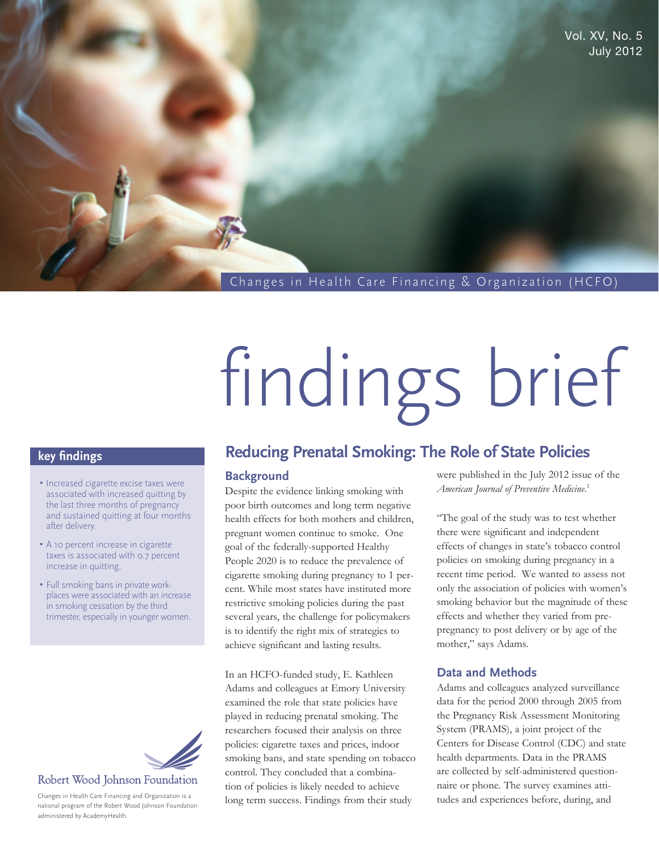Changes in Health Care Financing & Organization (HCFO)

# findings brief

# **key findings**

- Increased cigarette excise taxes were associated with increased quitting by the last three months of pregnancy and sustained quitting at four months after delivery.
- A 10 percent increase in cigarette taxes is associated with 0.7 percent increase in quitting.
- Full smoking bans in private workplaces were associated with an increase in smoking cessation by the third trimester, especially in younger women.



Changes in Health Care Financing and Organization is a national program of the Robert Wood Johnson Foundation administered by AcademyHealth.

# **Reducing Prenatal Smoking: The Role of State Policies**

#### **Background**

Despite the evidence linking smoking with poor birth outcomes and long term negative health effects for both mothers and children, pregnant women continue to smoke. One goal of the federally-supported Healthy People 2020 is to reduce the prevalence of cigarette smoking during pregnancy to 1 percent. While most states have instituted more restrictive smoking policies during the past several years, the challenge for policymakers is to identify the right mix of strategies to achieve significant and lasting results.

In an HCFO-funded study, E. Kathleen Adams and colleagues at Emory University examined the role that state policies have played in reducing prenatal smoking. The researchers focused their analysis on three policies: cigarette taxes and prices, indoor smoking bans, and state spending on tobacco control. They concluded that a combination of policies is likely needed to achieve long term success. Findings from their study

were published in the July 2012 issue of the *American Journal of Preventive Medicine*. 1

"The goal of the study was to test whether there were significant and independent effects of changes in state's tobacco control policies on smoking during pregnancy in a recent time period. We wanted to assess not only the association of policies with women's smoking behavior but the magnitude of these effects and whether they varied from prepregnancy to post delivery or by age of the mother," says Adams.

## **Data and Methods**

Adams and colleagues analyzed surveillance data for the period 2000 through 2005 from the Pregnancy Risk Assessment Monitoring System (PRAMS), a joint project of the Centers for Disease Control (CDC) and state health departments. Data in the PRAMS are collected by self-administered questionnaire or phone. The survey examines attitudes and experiences before, during, and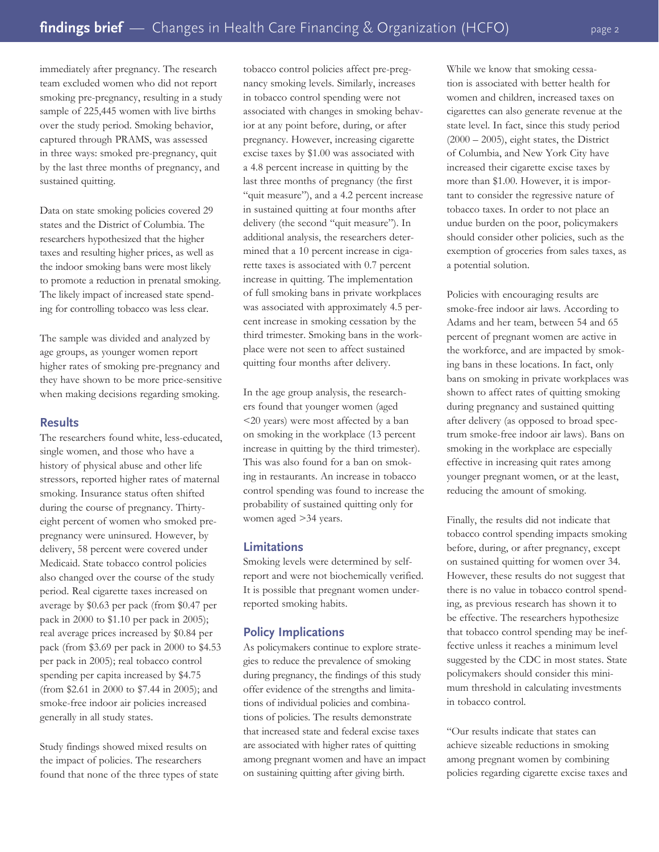immediately after pregnancy. The research team excluded women who did not report smoking pre-pregnancy, resulting in a study sample of 225,445 women with live births over the study period. Smoking behavior, captured through PRAMS, was assessed in three ways: smoked pre-pregnancy, quit by the last three months of pregnancy, and sustained quitting.

Data on state smoking policies covered 29 states and the District of Columbia. The researchers hypothesized that the higher taxes and resulting higher prices, as well as the indoor smoking bans were most likely to promote a reduction in prenatal smoking. The likely impact of increased state spending for controlling tobacco was less clear.

The sample was divided and analyzed by age groups, as younger women report higher rates of smoking pre-pregnancy and they have shown to be more price-sensitive when making decisions regarding smoking.

#### **Results**

The researchers found white, less-educated, single women, and those who have a history of physical abuse and other life stressors, reported higher rates of maternal smoking. Insurance status often shifted during the course of pregnancy. Thirtyeight percent of women who smoked prepregnancy were uninsured. However, by delivery, 58 percent were covered under Medicaid. State tobacco control policies also changed over the course of the study period. Real cigarette taxes increased on average by \$0.63 per pack (from \$0.47 per pack in 2000 to \$1.10 per pack in 2005); real average prices increased by \$0.84 per pack (from \$3.69 per pack in 2000 to \$4.53 per pack in 2005); real tobacco control spending per capita increased by \$4.75 (from \$2.61 in 2000 to \$7.44 in 2005); and smoke-free indoor air policies increased generally in all study states.

Study findings showed mixed results on the impact of policies. The researchers found that none of the three types of state

tobacco control policies affect pre-pregnancy smoking levels. Similarly, increases in tobacco control spending were not associated with changes in smoking behavior at any point before, during, or after pregnancy. However, increasing cigarette excise taxes by \$1.00 was associated with a 4.8 percent increase in quitting by the last three months of pregnancy (the first "quit measure"), and a 4.2 percent increase in sustained quitting at four months after delivery (the second "quit measure"). In additional analysis, the researchers determined that a 10 percent increase in cigarette taxes is associated with 0.7 percent increase in quitting. The implementation of full smoking bans in private workplaces was associated with approximately 4.5 percent increase in smoking cessation by the third trimester. Smoking bans in the workplace were not seen to affect sustained quitting four months after delivery.

In the age group analysis, the researchers found that younger women (aged <20 years) were most affected by a ban on smoking in the workplace (13 percent increase in quitting by the third trimester). This was also found for a ban on smoking in restaurants. An increase in tobacco control spending was found to increase the probability of sustained quitting only for women aged >34 years.

#### **Limitations**

Smoking levels were determined by selfreport and were not biochemically verified. It is possible that pregnant women underreported smoking habits.

#### **Policy Implications**

As policymakers continue to explore strategies to reduce the prevalence of smoking during pregnancy, the findings of this study offer evidence of the strengths and limitations of individual policies and combinations of policies. The results demonstrate that increased state and federal excise taxes are associated with higher rates of quitting among pregnant women and have an impact on sustaining quitting after giving birth.

While we know that smoking cessation is associated with better health for women and children, increased taxes on cigarettes can also generate revenue at the state level. In fact, since this study period  $(2000 - 2005)$ , eight states, the District of Columbia, and New York City have increased their cigarette excise taxes by more than \$1.00. However, it is important to consider the regressive nature of tobacco taxes. In order to not place an undue burden on the poor, policymakers should consider other policies, such as the exemption of groceries from sales taxes, as a potential solution.

Policies with encouraging results are smoke-free indoor air laws. According to Adams and her team, between 54 and 65 percent of pregnant women are active in the workforce, and are impacted by smoking bans in these locations. In fact, only bans on smoking in private workplaces was shown to affect rates of quitting smoking during pregnancy and sustained quitting after delivery (as opposed to broad spectrum smoke-free indoor air laws). Bans on smoking in the workplace are especially effective in increasing quit rates among younger pregnant women, or at the least, reducing the amount of smoking.

Finally, the results did not indicate that tobacco control spending impacts smoking before, during, or after pregnancy, except on sustained quitting for women over 34. However, these results do not suggest that there is no value in tobacco control spending, as previous research has shown it to be effective. The researchers hypothesize that tobacco control spending may be ineffective unless it reaches a minimum level suggested by the CDC in most states. State policymakers should consider this minimum threshold in calculating investments in tobacco control.

"Our results indicate that states can achieve sizeable reductions in smoking among pregnant women by combining policies regarding cigarette excise taxes and